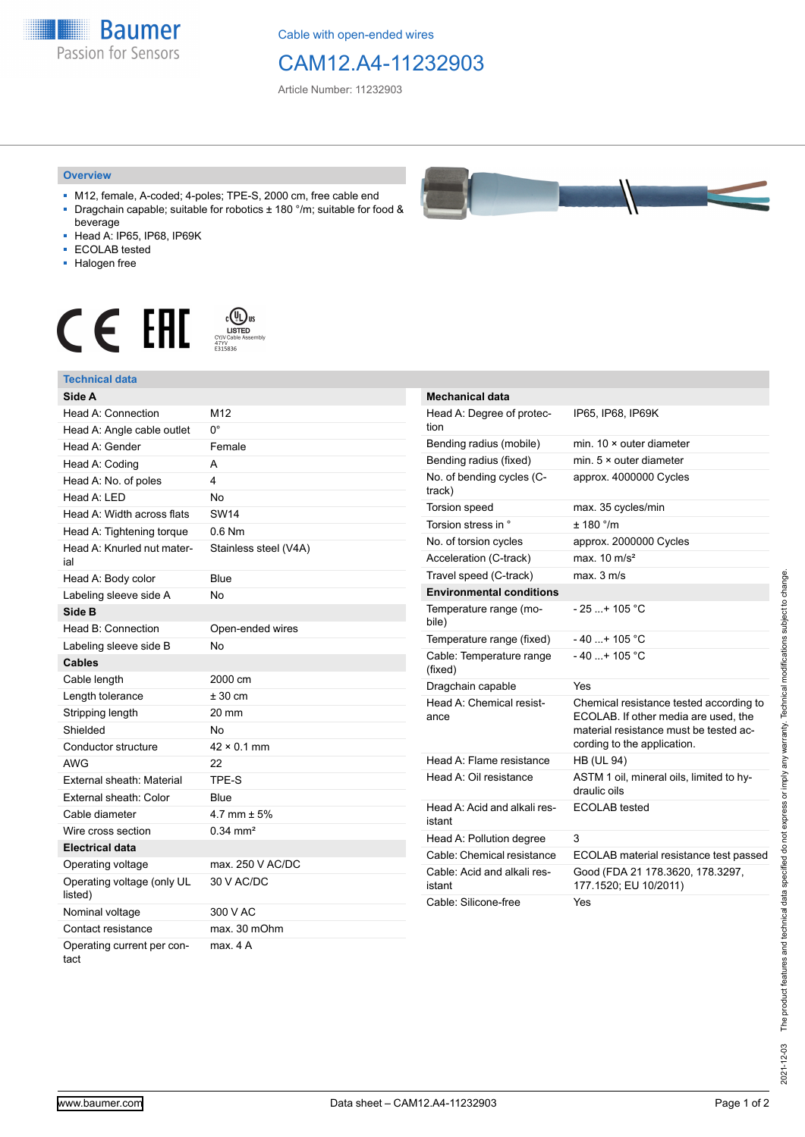**Baumer** Passion for Sensors

Cable with open-ended wires

## CAM12.A4-11232903

Article Number: 11232903

## **Overview**

- M12, female, A-coded; 4-poles; TPE-S, 2000 cm, free cable end ■ Dragchain capable; suitable for robotics ± 180 °/m; suitable for food &
- beverage ■ Head A: IP65, IP68, IP69K
- ECOLAB tested
- Halogen free
- 

## $\displaystyle \mathop{\mathsf{C}}\limits_{\substack{\mathsf{C} \text{VJV} \text{Cable Assen}\ \atop 47\text{VV}}} \mathop{\mathsf{LISTED}}\limits_{\substack{\mathsf{C} \text{VJV Cable Assen}\ \atop 5315836}}$ CE EHI





| <b>Mechanical data</b>                 |                                                                                                                                                          |
|----------------------------------------|----------------------------------------------------------------------------------------------------------------------------------------------------------|
| Head A: Degree of protec-<br>tion      | IP65, IP68, IP69K                                                                                                                                        |
| Bending radius (mobile)                | min. $10 \times$ outer diameter                                                                                                                          |
| Bending radius (fixed)                 | min. $5 \times$ outer diameter                                                                                                                           |
| No. of bending cycles (C-<br>track)    | approx. 4000000 Cycles                                                                                                                                   |
| Torsion speed                          | max. 35 cycles/min                                                                                                                                       |
| Torsion stress in °                    | ± 180 °/m                                                                                                                                                |
| No. of torsion cycles                  | approx. 2000000 Cycles                                                                                                                                   |
| Acceleration (C-track)                 | max. $10 \text{ m/s}^2$                                                                                                                                  |
| Travel speed (C-track)                 | max. 3 m/s                                                                                                                                               |
| <b>Environmental conditions</b>        |                                                                                                                                                          |
| Temperature range (mo-<br>bile)        | - 25 + 105 °C                                                                                                                                            |
| Temperature range (fixed)              | - 40 + 105 °C                                                                                                                                            |
| Cable: Temperature range<br>(fixed)    | $-40+105 °C$                                                                                                                                             |
| Dragchain capable                      | Yes                                                                                                                                                      |
| Head A: Chemical resist-<br>ance       | Chemical resistance tested according to<br>ECOLAB. If other media are used, the<br>material resistance must be tested ac-<br>cording to the application. |
| Head A: Flame resistance               | <b>HB (UL 94)</b>                                                                                                                                        |
| Head A: Oil resistance                 | ASTM 1 oil, mineral oils, limited to hy-<br>draulic oils                                                                                                 |
| Head A: Acid and alkali res-<br>istant | <b>ECOLAB</b> tested                                                                                                                                     |
| Head A: Pollution degree               | 3                                                                                                                                                        |
| Cable: Chemical resistance             | ECOLAB material resistance test passed                                                                                                                   |
| Cable: Acid and alkali res-<br>istant  | Good (FDA 21 178.3620, 178.3297,<br>177.1520; EU 10/2011)                                                                                                |
| Cable: Silicone-free                   | Yes                                                                                                                                                      |